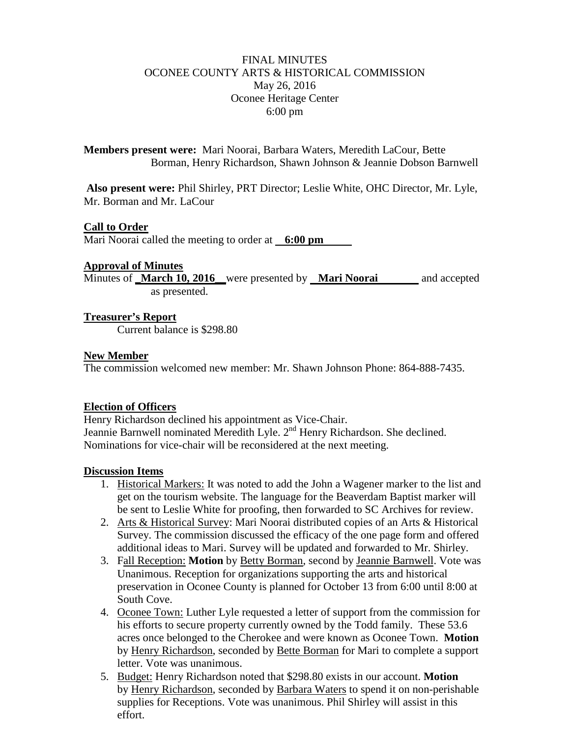# FINAL MINUTES OCONEE COUNTY ARTS & HISTORICAL COMMISSION May 26, 2016 Oconee Heritage Center 6:00 pm

**Members present were:** Mari Noorai, Barbara Waters, Meredith LaCour, Bette Borman, Henry Richardson, Shawn Johnson & Jeannie Dobson Barnwell

**Also present were:** Phil Shirley, PRT Director; Leslie White, OHC Director, Mr. Lyle, Mr. Borman and Mr. LaCour

## **Call to Order**

Mari Noorai called the meeting to order at **6:00 pm**

#### **Approval of Minutes**

Minutes of **March 10, 2016** were presented by **Mari Noorai** and accepted as presented.

### **Treasurer's Report**

Current balance is \$298.80

### **New Member**

The commission welcomed new member: Mr. Shawn Johnson Phone: 864-888-7435.

### **Election of Officers**

Henry Richardson declined his appointment as Vice-Chair. Jeannie Barnwell nominated Meredith Lyle. 2<sup>nd</sup> Henry Richardson. She declined. Nominations for vice-chair will be reconsidered at the next meeting.

### **Discussion Items**

- 1. Historical Markers: It was noted to add the John a Wagener marker to the list and get on the tourism website. The language for the Beaverdam Baptist marker will be sent to Leslie White for proofing, then forwarded to SC Archives for review.
- 2. Arts & Historical Survey: Mari Noorai distributed copies of an Arts & Historical Survey. The commission discussed the efficacy of the one page form and offered additional ideas to Mari. Survey will be updated and forwarded to Mr. Shirley.
- 3. Fall Reception: **Motion** by Betty Borman, second by Jeannie Barnwell. Vote was Unanimous. Reception for organizations supporting the arts and historical preservation in Oconee County is planned for October 13 from 6:00 until 8:00 at South Cove.
- 4. Oconee Town: Luther Lyle requested a letter of support from the commission for his efforts to secure property currently owned by the Todd family. These 53.6 acres once belonged to the Cherokee and were known as Oconee Town. **Motion** by Henry Richardson, seconded by Bette Borman for Mari to complete a support letter. Vote was unanimous.
- 5. Budget: Henry Richardson noted that \$298.80 exists in our account. **Motion** by Henry Richardson, seconded by Barbara Waters to spend it on non-perishable supplies for Receptions. Vote was unanimous. Phil Shirley will assist in this effort.